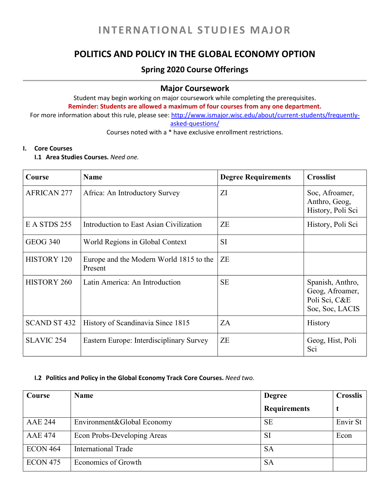# **POLITICS AND POLICY IN THE GLOBAL ECONOMY OPTION**

## **Spring 2020 Course Offerings**

### **Major Coursework**

Student may begin working on major coursework while completing the prerequisites. **Reminder: Students are allowed a maximum of four courses from any one department.**  For more information about this rule, please see: [http://www.ismajor.wisc.edu/about/current-students/frequently-](http://www.ismajor.wisc.edu/about/current-students/frequently-asked-questions/)

[asked-questions/](http://www.ismajor.wisc.edu/about/current-students/frequently-asked-questions/)

Courses noted with a \* have exclusive enrollment restrictions.

#### **I. Core Courses**

**I.1 Area Studies Courses.** *Need one.*

| Course              | <b>Name</b>                                        | <b>Degree Requirements</b> | <b>Crosslist</b>                                                        |
|---------------------|----------------------------------------------------|----------------------------|-------------------------------------------------------------------------|
| <b>AFRICAN 277</b>  | Africa: An Introductory Survey                     | ZI                         | Soc, Afroamer,<br>Anthro, Geog,<br>History, Poli Sci                    |
| E A STDS 255        | Introduction to East Asian Civilization            | ZE                         | History, Poli Sci                                                       |
| <b>GEOG 340</b>     | World Regions in Global Context                    | SI                         |                                                                         |
| <b>HISTORY 120</b>  | Europe and the Modern World 1815 to the<br>Present | <b>ZE</b>                  |                                                                         |
| <b>HISTORY 260</b>  | Latin America: An Introduction                     | <b>SE</b>                  | Spanish, Anthro,<br>Geog, Afroamer,<br>Poli Sci, C&E<br>Soc, Soc, LACIS |
| <b>SCAND ST 432</b> | History of Scandinavia Since 1815                  | ZA                         | <b>History</b>                                                          |
| <b>SLAVIC 254</b>   | Eastern Europe: Interdisciplinary Survey           | ZE                         | Geog, Hist, Poli<br>Sci                                                 |

#### **I.2 Politics and Policy in the Global Economy Track Core Courses.** *Need two.*

| Course          | <b>Name</b>                 | <b>Degree</b>       | <b>Crosslis</b> |
|-----------------|-----------------------------|---------------------|-----------------|
|                 |                             | <b>Requirements</b> |                 |
| <b>AAE 244</b>  | Environment&Global Economy  | <b>SE</b>           | Envir St        |
| <b>AAE 474</b>  | Econ Probs-Developing Areas | <b>SI</b>           | Econ            |
| <b>ECON 464</b> | <b>International Trade</b>  | <b>SA</b>           |                 |
| <b>ECON 475</b> | Economics of Growth         | <b>SA</b>           |                 |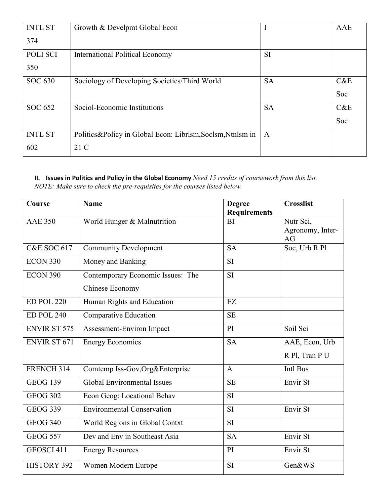| <b>INTL ST</b> | Growth & Develpmt Global Econ                                | 1            | AAE |
|----------------|--------------------------------------------------------------|--------------|-----|
| 374            |                                                              |              |     |
| POLI SCI       | <b>International Political Economy</b>                       | SI           |     |
| 350            |                                                              |              |     |
| SOC 630        | Sociology of Developing Societies/Third World                | <b>SA</b>    | C&E |
|                |                                                              |              | Soc |
| SOC 652        | Sociol-Economic Institutions                                 | <b>SA</b>    | C&E |
|                |                                                              |              | Soc |
| <b>INTL ST</b> | Politics & Policy in Global Econ: Librlsm, Soclsm, Ntnlsm in | $\mathbf{A}$ |     |
| 602            | 21 C                                                         |              |     |

#### **II. Issues in Politics and Policy in the Global Economy** *Need 15 credits of coursework from this list. NOTE: Make sure to check the pre-requisites for the courses listed below.*

| Course                 | <b>Name</b>                        | <b>Degree</b>       | <b>Crosslist</b> |
|------------------------|------------------------------------|---------------------|------------------|
|                        |                                    | <b>Requirements</b> |                  |
| <b>AAE 350</b>         | World Hunger & Malnutrition        | BI                  | Nutr Sci,        |
|                        |                                    |                     | Agronomy, Inter- |
|                        |                                    |                     | AG               |
| <b>C&amp;E SOC 617</b> | <b>Community Development</b>       | <b>SA</b>           | Soc, Urb R Pl    |
| <b>ECON 330</b>        | Money and Banking                  | <b>SI</b>           |                  |
| $ECON$ 390             | Contemporary Economic Issues: The  | <b>SI</b>           |                  |
|                        | <b>Chinese Economy</b>             |                     |                  |
| <b>ED POL 220</b>      | Human Rights and Education         | EZ                  |                  |
| <b>ED POL 240</b>      | <b>Comparative Education</b>       | <b>SE</b>           |                  |
| <b>ENVIR ST 575</b>    | Assessment-Environ Impact          | PI                  | Soil Sci         |
| <b>ENVIR ST 671</b>    | <b>Energy Economics</b>            | <b>SA</b>           | AAE, Econ, Urb   |
|                        |                                    |                     | R Pl, Tran P U   |
| FRENCH 314             | Comtemp Iss-Gov, Org&Enterprise    | $\mathbf{A}$        | Intl Bus         |
| <b>GEOG 139</b>        | <b>Global Environmental Issues</b> | <b>SE</b>           | Envir St         |
| <b>GEOG 302</b>        | Econ Geog: Locational Behav        | <b>SI</b>           |                  |
| <b>GEOG 339</b>        | <b>Environmental Conservation</b>  | <b>SI</b>           | Envir St         |
| $GEOG$ 340             | World Regions in Global Contxt     | <b>SI</b>           |                  |
| <b>GEOG 557</b>        | Dev and Env in Southeast Asia      | <b>SA</b>           | Envir St         |
| GEOSCI 411             | <b>Energy Resources</b>            | PI                  | Envir St         |
| <b>HISTORY 392</b>     | Women Modern Europe                | <b>SI</b>           | Gen&WS           |